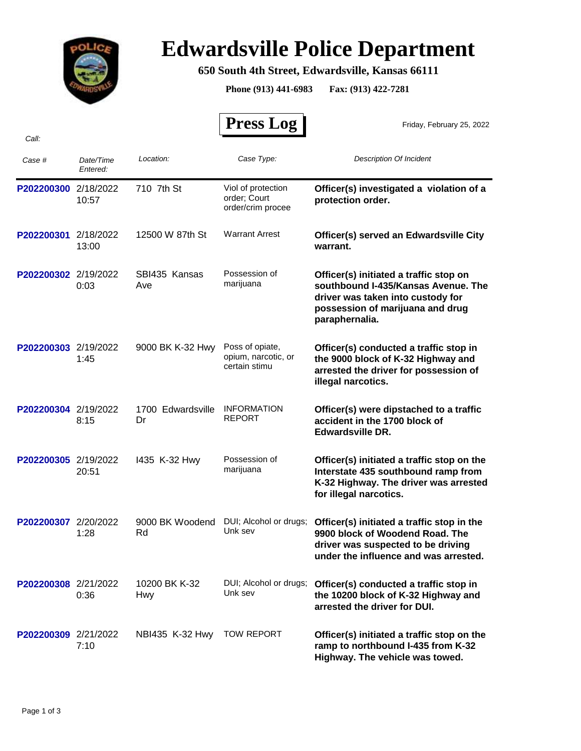

## **Edwardsville Police Department**

## **650 South 4th Street, Edwardsville, Kansas 66111**

**Phone (913) 441-6983 Fax: (913) 422-7281**

 **Press Log**  *Case # Date/Time Entered: Location: Case Type: Description Of Incident*  Friday, February 25, 2022 *Call:* P202200300 2/18/2022 710 7th St Viol of protection **Officer(s) investigated a violation of a protection order.** Viol of protection order; Court order/crim procee 10:57 710 7th St **P202200301** 2/18/2022 12500 W 87th St Warrant Arrest **Officer(s) served an Edwardsville City warrant.** Warrant Arrest 13:00 12500 W 87th St **P202200302** 2/19/2022 SBI435 Kansas Possession of **Officer(s) initiated a traffic stop on southbound I-435/Kansas Avenue. The driver was taken into custody for possession of marijuana and drug paraphernalia.** Possession of 0:03 Ave marijuana SBI435 Kansas Ave **P202200303** 2/19/2022 9000 BK K-32 Hwy Poss of opiate, **Officer(s) conducted a traffic stop in the 9000 block of K-32 Highway and arrested the driver for possession of illegal narcotics.** Poss of opiate, opium, narcotic, or certain stimu 1:45 9000 BK K-32 Hwy **P202200304** 2/19/2022 1700 Edwardsville INFORMATION **Officer(s) were dipstached to a traffic accident in the 1700 block of Edwardsville DR.** INFORMATION 8:15 Dr REPORT 1700 Edwardsville Dr **P202200305** 2/19/2022 1435 K-32 Hwy Possession of **Officer(s) initiated a traffic stop on the Interstate 435 southbound ramp from K-32 Highway. The driver was arrested for illegal narcotics.** Possession of 20:51 marijuana I435 K-32 Hwy P202200307 2/20/2022 9000 BK Woodend DUI; Alcohol or drugs; Officer(s) initiated a traffic stop in the **9900 block of Woodend Road. The driver was suspected to be driving under the influence and was arrested.** DUI; Alcohol or drugs; 1:28 Unk sev 9000 BK Woodend Rd P202200308 2/21/2022 10200 BK K-32 DUI; Alcohol or drugs; Officer(s) conducted a traffic stop in **the 10200 block of K-32 Highway and arrested the driver for DUI.** DUI; Alcohol or drugs; 0:36 Hwy Unk sev 10200 BK K-32 Hwy **P202200309** 2/21/2022 NBI435 K-32 Hwy TOW REPORT **Officer(s) initiated a traffic stop on the ramp to northbound I-435 from K-32 Highway. The vehicle was towed.** TOW REPORT 7:10 NBI435 K-32 Hwy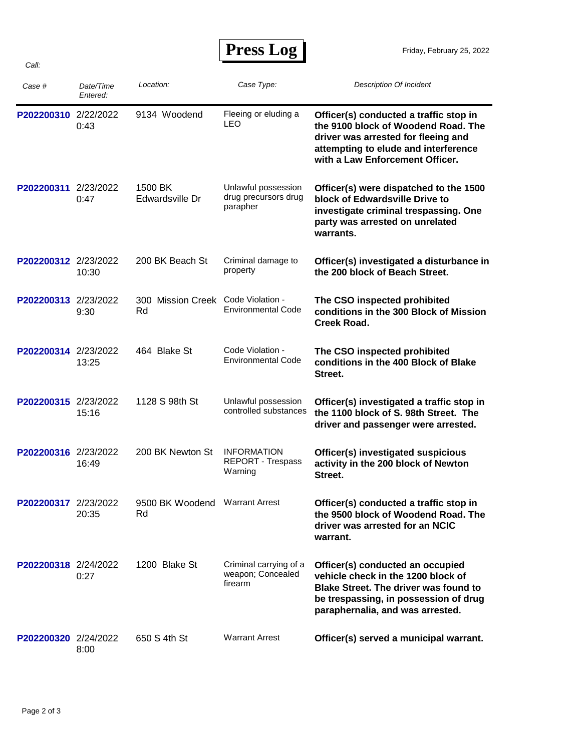## **Press Log**

| Case #               | Date/Time<br>Entered: | Location:                                | Case Type:                                              | <b>Description Of Incident</b>                                                                                                                                                                      |
|----------------------|-----------------------|------------------------------------------|---------------------------------------------------------|-----------------------------------------------------------------------------------------------------------------------------------------------------------------------------------------------------|
| P202200310 2/22/2022 | 0:43                  | 9134 Woodend                             | Fleeing or eluding a<br>LEO                             | Officer(s) conducted a traffic stop in<br>the 9100 block of Woodend Road. The<br>driver was arrested for fleeing and<br>attempting to elude and interference<br>with a Law Enforcement Officer.     |
| P202200311 2/23/2022 | 0:47                  | 1500 BK<br>Edwardsville Dr               | Unlawful possession<br>drug precursors drug<br>parapher | Officer(s) were dispatched to the 1500<br>block of Edwardsville Drive to<br>investigate criminal trespassing. One<br>party was arrested on unrelated<br>warrants.                                   |
| P202200312 2/23/2022 | 10:30                 | 200 BK Beach St                          | Criminal damage to<br>property                          | Officer(s) investigated a disturbance in<br>the 200 block of Beach Street.                                                                                                                          |
| P202200313 2/23/2022 | 9:30                  | 300 Mission Creek Code Violation -<br>Rd | <b>Environmental Code</b>                               | The CSO inspected prohibited<br>conditions in the 300 Block of Mission<br>Creek Road.                                                                                                               |
| P202200314 2/23/2022 | 13:25                 | 464 Blake St                             | Code Violation -<br><b>Environmental Code</b>           | The CSO inspected prohibited<br>conditions in the 400 Block of Blake<br>Street.                                                                                                                     |
| P202200315 2/23/2022 | 15:16                 | 1128 S 98th St                           | Unlawful possession<br>controlled substances            | Officer(s) investigated a traffic stop in<br>the 1100 block of S. 98th Street. The<br>driver and passenger were arrested.                                                                           |
| P202200316 2/23/2022 | 16:49                 | 200 BK Newton St                         | <b>INFORMATION</b><br>REPORT - Trespass<br>Warning      | Officer(s) investigated suspicious<br>activity in the 200 block of Newton<br>Street.                                                                                                                |
| P202200317 2/23/2022 | 20:35                 | 9500 BK Woodend Warrant Arrest<br>Rd     |                                                         | Officer(s) conducted a traffic stop in<br>the 9500 block of Woodend Road. The<br>driver was arrested for an NCIC<br>warrant.                                                                        |
| P202200318 2/24/2022 | 0:27                  | 1200 Blake St                            | Criminal carrying of a<br>weapon; Concealed<br>firearm  | Officer(s) conducted an occupied<br>vehicle check in the 1200 block of<br><b>Blake Street. The driver was found to</b><br>be trespassing, in possession of drug<br>paraphernalia, and was arrested. |
| P202200320 2/24/2022 | 8:00                  | 650 S 4th St                             | <b>Warrant Arrest</b>                                   | Officer(s) served a municipal warrant.                                                                                                                                                              |

*Call:*